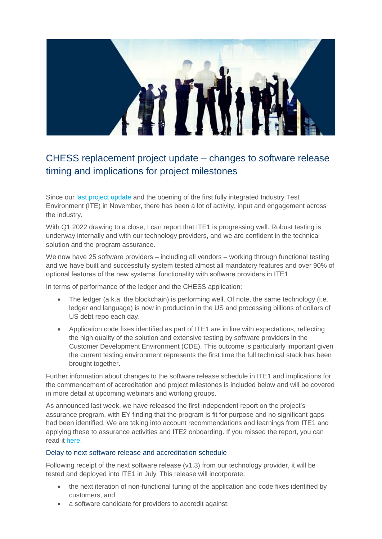

## CHESS replacement project update – changes to software release timing and implications for project milestones

Since our last [project update](https://asxchessreplacement.atlassian.net/wiki/spaces/COMMS/overview) and the opening of the first fully integrated Industry Test Environment (ITE) in November, there has been a lot of activity, input and engagement across the industry.

With Q1 2022 drawing to a close, I can report that ITE1 is progressing well. Robust testing is underway internally and with our technology providers, and we are confident in the technical solution and the program assurance.

We now have 25 software providers – including all vendors – working through functional testing and we have built and successfully system tested almost all mandatory features and over 90% of optional features of the new systems' functionality with software providers in ITE1.

In terms of performance of the ledger and the CHESS application:

- The ledger (a.k.a. the blockchain) is performing well. Of note, the same technology (i.e. ledger and language) is now in production in the US and processing billions of dollars of US debt repo each day.
- Application code fixes identified as part of ITE1 are in line with expectations, reflecting the high quality of the solution and extensive testing by software providers in the Customer Development Environment (CDE). This outcome is particularly important given the current testing environment represents the first time the full technical stack has been brought together.

Further information about changes to the software release schedule in ITE1 and implications for the commencement of accreditation and project milestones is included below and will be covered in more detail at upcoming webinars and working groups.

As announced last week, we have released the first independent report on the project's assurance program, with EY finding that the program is fit for purpose and no significant gaps had been identified. We are taking into account recommendations and learnings from ITE1 and applying these to assurance activities and ITE2 onboarding. If you missed the report, you can read it [here.](https://www2.asx.com.au/content/dam/asx/markets/clearing-and-settlement-services/asx-independent-assessment-of-chess-replacement-assurance-program.pdf)

## Delay to next software release and accreditation schedule

Following receipt of the next software release (v1.3) from our technology provider, it will be tested and deployed into ITE1 in July. This release will incorporate:

- the next iteration of non-functional tuning of the application and code fixes identified by customers, and
- a software candidate for providers to accredit against.